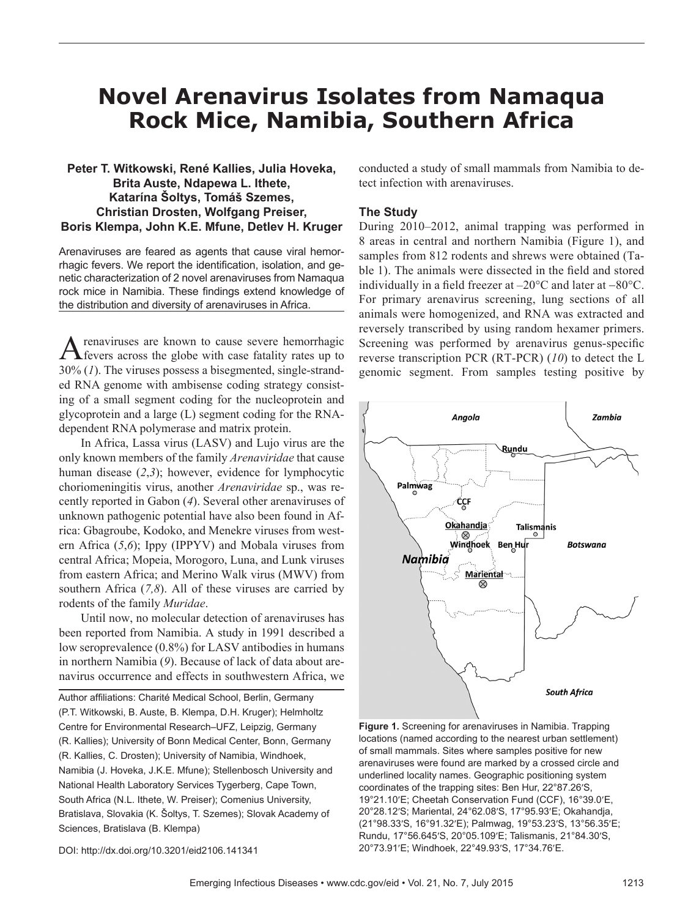# **Novel Arenavirus Isolates from Namaqua Rock Mice, Namibia, Southern Africa**

# **Peter T. Witkowski, René Kallies, Julia Hoveka, Brita Auste, Ndapewa L. Ithete, Katarína Šoltys, Tomáš Szemes, Christian Drosten, Wolfgang Preiser, Boris Klempa, John K.E. Mfune, Detlev H. Kruger**

Arenaviruses are feared as agents that cause viral hemorrhagic fevers. We report the identification, isolation, and genetic characterization of 2 novel arenaviruses from Namaqua rock mice in Namibia. These findings extend knowledge of the distribution and diversity of arenaviruses in Africa.

renaviruses are known to cause severe hemorrhagic fevers across the globe with case fatality rates up to 30% (*1*). The viruses possess a bisegmented, single-stranded RNA genome with ambisense coding strategy consisting of a small segment coding for the nucleoprotein and glycoprotein and a large (L) segment coding for the RNAdependent RNA polymerase and matrix protein.

In Africa, Lassa virus (LASV) and Lujo virus are the only known members of the family *Arenaviridae* that cause human disease (*2*,*3*); however, evidence for lymphocytic choriomeningitis virus, another *Arenaviridae* sp., was recently reported in Gabon (*4*). Several other arenaviruses of unknown pathogenic potential have also been found in Africa: Gbagroube, Kodoko, and Menekre viruses from western Africa (*5*,*6*); Ippy (IPPYV) and Mobala viruses from central Africa; Mopeia, Morogoro, Luna, and Lunk viruses from eastern Africa; and Merino Walk virus (MWV) from southern Africa (*7,8*). All of these viruses are carried by rodents of the family *Muridae*.

Until now, no molecular detection of arenaviruses has been reported from Namibia. A study in 1991 described a low seroprevalence (0.8%) for LASV antibodies in humans in northern Namibia (*9*). Because of lack of data about arenavirus occurrence and effects in southwestern Africa, we

Author affiliations: Charité Medical School, Berlin, Germany (P.T. Witkowski, B. Auste, B. Klempa, D.H. Kruger); Helmholtz Centre for Environmental Research–UFZ, Leipzig, Germany (R. Kallies); University of Bonn Medical Center, Bonn, Germany (R. Kallies, C. Drosten); University of Namibia, Windhoek, Namibia (J. Hoveka, J.K.E. Mfune); Stellenbosch University and National Health Laboratory Services Tygerberg, Cape Town, South Africa (N.L. Ithete, W. Preiser); Comenius University, Bratislava, Slovakia (K. Šoltys, T. Szemes); Slovak Academy of Sciences, Bratislava (B. Klempa)

conducted a study of small mammals from Namibia to detect infection with arenaviruses.

## **The Study**

During 2010–2012, animal trapping was performed in 8 areas in central and northern Namibia (Figure 1), and samples from 812 rodents and shrews were obtained (Table 1). The animals were dissected in the field and stored individually in a field freezer at –20°C and later at −80°C. For primary arenavirus screening, lung sections of all animals were homogenized, and RNA was extracted and reversely transcribed by using random hexamer primers. Screening was performed by arenavirus genus-specific reverse transcription PCR (RT-PCR) (*10*) to detect the L genomic segment. From samples testing positive by



**Figure 1.** Screening for arenaviruses in Namibia. Trapping locations (named according to the nearest urban settlement) of small mammals. Sites where samples positive for new arenaviruses were found are marked by a crossed circle and underlined locality names. Geographic positioning system coordinates of the trapping sites: Ben Hur, 22°87.26′S, 19°21.10′E; Cheetah Conservation Fund (CCF), 16°39.0′E, 20°28.12′S; Mariental, 24°62.08′S, 17°95.93′E; Okahandja, (21°98.33′S, 16°91.32′E); Palmwag, 19°53.23′S, 13°56.35′E; Rundu, 17°56.645′S, 20°05.109′E; Talismanis, 21°84.30′S, 20°73.91′E; Windhoek, 22°49.93′S, 17°34.76′E.

DOI: http://dx.doi.org/10.3201/eid2106.141341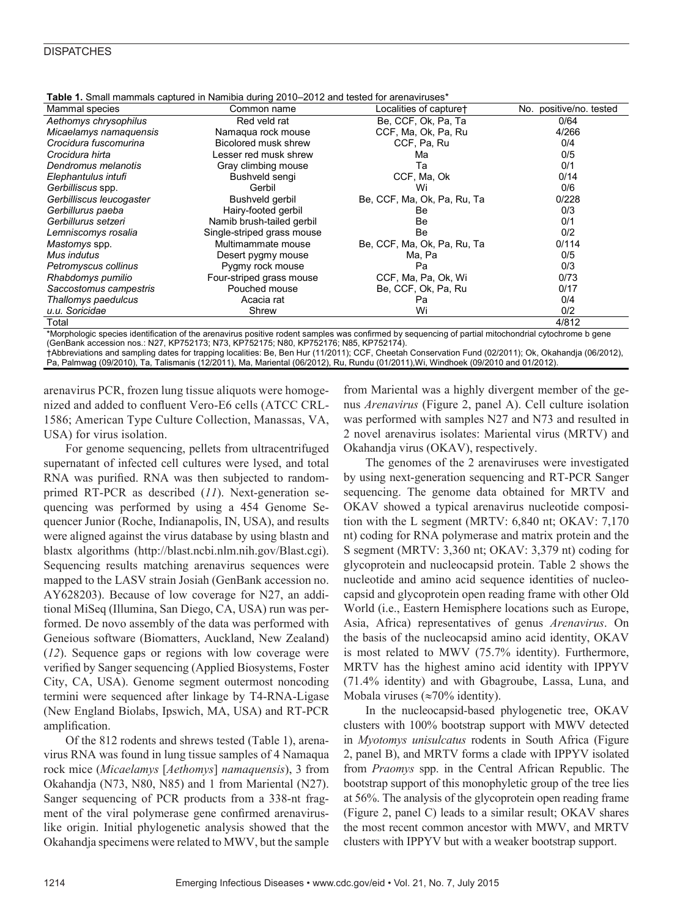## **DISPATCHES**

| <b>Table 1.</b> Small mammals captured in Namibia during 2010–2012 and tested for arenaviruses <sup>*</sup> |                            |                             |                         |  |  |  |  |
|-------------------------------------------------------------------------------------------------------------|----------------------------|-----------------------------|-------------------------|--|--|--|--|
| Mammal species                                                                                              | Common name                | Localities of capture+      | No. positive/no. tested |  |  |  |  |
| Aethomys chrysophilus                                                                                       | Red veld rat               | Be, CCF, Ok, Pa, Ta         | 0/64                    |  |  |  |  |
| Micaelamys namaquensis                                                                                      | Namagua rock mouse         | CCF, Ma, Ok, Pa, Ru         | 4/266                   |  |  |  |  |
| Crocidura fuscomurina                                                                                       | Bicolored musk shrew       | CCF, Pa, Ru                 | 0/4                     |  |  |  |  |
| Crocidura hirta                                                                                             | Lesser red musk shrew      | Ma                          | 0/5                     |  |  |  |  |
| Dendromus melanotis                                                                                         | Gray climbing mouse        | Та                          | 0/1                     |  |  |  |  |
| Elephantulus intufi                                                                                         | Bushveld sengi             | CCF, Ma, Ok                 | 0/14                    |  |  |  |  |
| Gerbilliscus spp.                                                                                           | Gerbil                     | Wi                          | 0/6                     |  |  |  |  |
| Gerbilliscus leucogaster                                                                                    | Bushveld gerbil            | Be, CCF, Ma, Ok, Pa, Ru, Ta | 0/228                   |  |  |  |  |
| Gerbillurus paeba                                                                                           | Hairy-footed gerbil        | Be                          | 0/3                     |  |  |  |  |
| Gerbillurus setzeri                                                                                         | Namib brush-tailed gerbil  | Be                          | 0/1                     |  |  |  |  |
| Lemniscomys rosalia                                                                                         | Single-striped grass mouse | Be                          | 0/2                     |  |  |  |  |
| Mastomys spp.                                                                                               | Multimammate mouse         | Be, CCF, Ma, Ok, Pa, Ru, Ta | 0/114                   |  |  |  |  |
| Mus indutus                                                                                                 | Desert pygmy mouse         | Ma, Pa                      | 0/5                     |  |  |  |  |
| Petromyscus collinus                                                                                        | Pygmy rock mouse           | Pa                          | 0/3                     |  |  |  |  |
| Rhabdomys pumilio                                                                                           | Four-striped grass mouse   | CCF, Ma, Pa, Ok, Wi         | 0/73                    |  |  |  |  |
| Saccostomus campestris                                                                                      | Pouched mouse              | Be, CCF, Ok, Pa, Ru         | 0/17                    |  |  |  |  |
| Thallomys paedulcus                                                                                         | Acacia rat                 | Pa                          | 0/4                     |  |  |  |  |
| u.u. Soricidae                                                                                              | Shrew                      | Wi                          | 0/2                     |  |  |  |  |
| Total                                                                                                       |                            |                             | 4/812                   |  |  |  |  |

**Table 1.** Small mammals captured in Namibia during 2010–2012 and tested for arenaviruses\*

\*Morphologic species identification of the arenavirus positive rodent samples was confirmed by sequencing of partial mitochondrial cytochrome b gene (GenBank accession nos.: N27, KP752173; N73, KP752175; N80, KP752176; N85, KP752174).

†Abbreviations and sampling dates for trapping localities: Be, Ben Hur (11/2011); CCF, Cheetah Conservation Fund (02/2011); Ok, Okahandja (06/2012), Pa, Palmwag (09/2010), Ta, Talismanis (12/2011), Ma, Mariental (06/2012), Ru, Rundu (01/2011),Wi, Windhoek (09/2010 and 01/2012).

arenavirus PCR, frozen lung tissue aliquots were homogenized and added to confluent Vero-E6 cells (ATCC CRL-1586; American Type Culture Collection, Manassas, VA, USA) for virus isolation.

For genome sequencing, pellets from ultracentrifuged supernatant of infected cell cultures were lysed, and total RNA was purified. RNA was then subjected to randomprimed RT-PCR as described (*11*). Next-generation sequencing was performed by using a 454 Genome Sequencer Junior (Roche, Indianapolis, IN, USA), and results were aligned against the virus database by using blastn and blastx algorithms (http://blast.ncbi.nlm.nih.gov/Blast.cgi). Sequencing results matching arenavirus sequences were mapped to the LASV strain Josiah (GenBank accession no. AY628203). Because of low coverage for N27, an additional MiSeq (Illumina, San Diego, CA, USA) run was performed. De novo assembly of the data was performed with Geneious software (Biomatters, Auckland, New Zealand) (*12*). Sequence gaps or regions with low coverage were verified by Sanger sequencing (Applied Biosystems, Foster City, CA, USA). Genome segment outermost noncoding termini were sequenced after linkage by T4-RNA-Ligase (New England Biolabs, Ipswich, MA, USA) and RT-PCR amplification.

Of the 812 rodents and shrews tested (Table 1), arenavirus RNA was found in lung tissue samples of 4 Namaqua rock mice (*Micaelamys* [*Aethomys*] *namaquensis*), 3 from Okahandja (N73, N80, N85) and 1 from Mariental (N27). Sanger sequencing of PCR products from a 338-nt fragment of the viral polymerase gene confirmed arenaviruslike origin. Initial phylogenetic analysis showed that the Okahandja specimens were related to MWV, but the sample

from Mariental was a highly divergent member of the genus *Arenavirus* (Figure 2, panel A). Cell culture isolation was performed with samples N27 and N73 and resulted in 2 novel arenavirus isolates: Mariental virus (MRTV) and Okahandja virus (OKAV), respectively.

The genomes of the 2 arenaviruses were investigated by using next-generation sequencing and RT-PCR Sanger sequencing. The genome data obtained for MRTV and OKAV showed a typical arenavirus nucleotide composition with the L segment (MRTV: 6,840 nt; OKAV: 7,170 nt) coding for RNA polymerase and matrix protein and the S segment (MRTV: 3,360 nt; OKAV: 3,379 nt) coding for glycoprotein and nucleocapsid protein. Table 2 shows the nucleotide and amino acid sequence identities of nucleocapsid and glycoprotein open reading frame with other Old World (i.e., Eastern Hemisphere locations such as Europe, Asia, Africa) representatives of genus *Arenavirus*. On the basis of the nucleocapsid amino acid identity, OKAV is most related to MWV (75.7% identity). Furthermore, MRTV has the highest amino acid identity with IPPYV (71.4% identity) and with Gbagroube, Lassa, Luna, and Mobala viruses ( $\approx 70\%$  identity).

In the nucleocapsid-based phylogenetic tree, OKAV clusters with 100% bootstrap support with MWV detected in *Myotomys unisulcatus* rodents in South Africa (Figure 2, panel B), and MRTV forms a clade with IPPYV isolated from *Praomys* spp. in the Central African Republic. The bootstrap support of this monophyletic group of the tree lies at 56%. The analysis of the glycoprotein open reading frame (Figure 2, panel C) leads to a similar result; OKAV shares the most recent common ancestor with MWV, and MRTV clusters with IPPYV but with a weaker bootstrap support.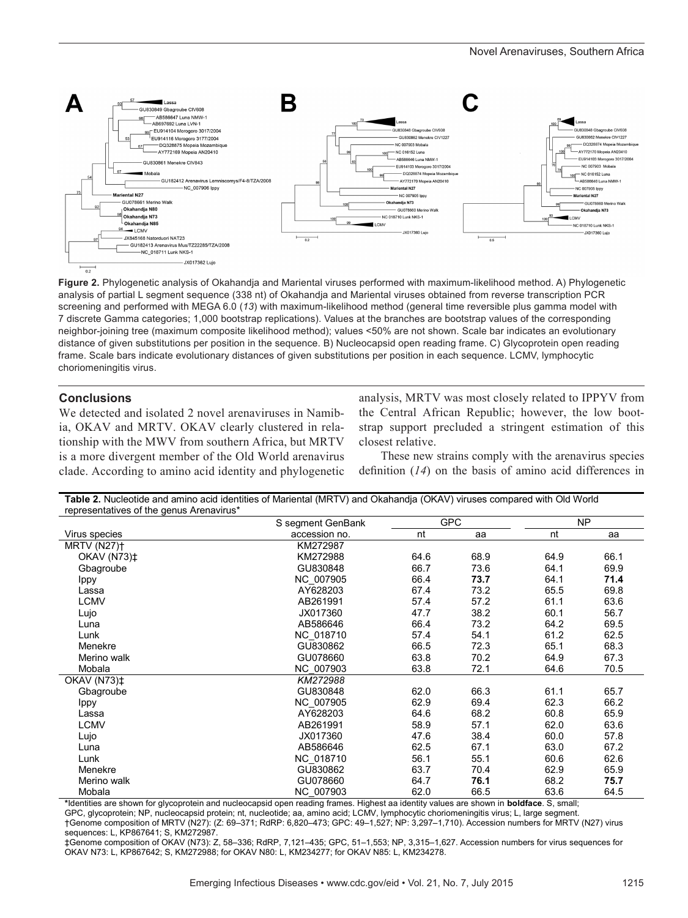

**Figure 2.** Phylogenetic analysis of Okahandja and Mariental viruses performed with maximum-likelihood method. A) Phylogenetic analysis of partial L segment sequence (338 nt) of Okahandja and Mariental viruses obtained from reverse transcription PCR screening and performed with MEGA 6.0 (*13*) with maximum-likelihood method (general time reversible plus gamma model with 7 discrete Gamma categories; 1,000 bootstrap replications). Values at the branches are bootstrap values of the corresponding neighbor-joining tree (maximum composite likelihood method); values <50% are not shown. Scale bar indicates an evolutionary distance of given substitutions per position in the sequence. B) Nucleocapsid open reading frame. C) Glycoprotein open reading frame. Scale bars indicate evolutionary distances of given substitutions per position in each sequence. LCMV, lymphocytic choriomeningitis virus.

## **Conclusions**

We detected and isolated 2 novel arenaviruses in Namibia, OKAV and MRTV. OKAV clearly clustered in relationship with the MWV from southern Africa, but MRTV is a more divergent member of the Old World arenavirus clade. According to amino acid identity and phylogenetic

analysis, MRTV was most closely related to IPPYV from the Central African Republic; however, the low bootstrap support precluded a stringent estimation of this closest relative.

These new strains comply with the arenavirus species definition (*14*) on the basis of amino acid differences in

| Table 2. Nucleotide and amino acid identities of Mariental (MRTV) and Okahandja (OKAV) viruses compared with Old World |  |
|------------------------------------------------------------------------------------------------------------------------|--|
| representatives of the genus Arenavirus*                                                                               |  |

| representatives or the genus Archavirus | S segment GenBank | <b>GPC</b> |      | NP   |      |
|-----------------------------------------|-------------------|------------|------|------|------|
| Virus species                           | accession no.     | nt         | aa   | nt   | aa   |
| <b>MRTV (N27)†</b>                      | KM272987          |            |      |      |      |
| <b>OKAV (N73)‡</b>                      | KM272988          | 64.6       | 68.9 | 64.9 | 66.1 |
| Gbagroube                               | GU830848          | 66.7       | 73.6 | 64.1 | 69.9 |
| Ippy                                    | NC 007905         | 66.4       | 73.7 | 64.1 | 71.4 |
| Lassa                                   | AY628203          | 67.4       | 73.2 | 65.5 | 69.8 |
| <b>LCMV</b>                             | AB261991          | 57.4       | 57.2 | 61.1 | 63.6 |
| Lujo                                    | JX017360          | 47.7       | 38.2 | 60.1 | 56.7 |
| Luna                                    | AB586646          | 66.4       | 73.2 | 64.2 | 69.5 |
| Lunk                                    | NC 018710         | 57.4       | 54.1 | 61.2 | 62.5 |
| Menekre                                 | GU830862          | 66.5       | 72.3 | 65.1 | 68.3 |
| Merino walk                             | GU078660          | 63.8       | 70.2 | 64.9 | 67.3 |
| Mobala                                  | NC 007903         | 63.8       | 72.1 | 64.6 | 70.5 |
| <b>OKAV (N73)‡</b>                      | KM272988          |            |      |      |      |
| Gbagroube                               | GU830848          | 62.0       | 66.3 | 61.1 | 65.7 |
| Ippy                                    | NC 007905         | 62.9       | 69.4 | 62.3 | 66.2 |
| Lassa                                   | AY628203          | 64.6       | 68.2 | 60.8 | 65.9 |
| <b>LCMV</b>                             | AB261991          | 58.9       | 57.1 | 62.0 | 63.6 |
| Lujo                                    | JX017360          | 47.6       | 38.4 | 60.0 | 57.8 |
| Luna                                    | AB586646          | 62.5       | 67.1 | 63.0 | 67.2 |
| Lunk                                    | NC 018710         | 56.1       | 55.1 | 60.6 | 62.6 |
| Menekre                                 | GU830862          | 63.7       | 70.4 | 62.9 | 65.9 |
| Merino walk                             | GU078660          | 64.7       | 76.1 | 68.2 | 75.7 |
| Mobala                                  | NC 007903         | 62.0       | 66.5 | 63.6 | 64.5 |

\*Identities are shown for glycoprotein and nucleocapsid open reading frames. Highest aa identity values are shown in **boldface**. S, small;

GPC, glycoprotein; NP, nucleocapsid protein; nt, nucleotide; aa, amino acid; LCMV, lymphocytic choriomeningitis virus; L, large segment.

†Genome composition of MRTV (N27): (Z: 69–371; RdRP: 6,820–473; GPC: 49–1,527; NP: 3,297–1,710). Accession numbers for MRTV (N27) virus sequences: L, KP867641; S, KM272987.

‡Genome composition of OKAV (N73): Z, 58–336; RdRP, 7,121–435; GPC, 51–1,553; NP, 3,315–1,627. Accession numbers for virus sequences for OKAV N73: L, KP867642; S, KM272988; for OKAV N80: L, KM234277; for OKAV N85: L, KM234278.